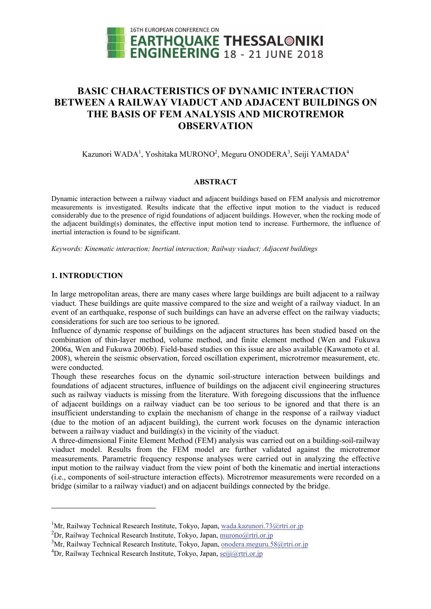

# **BASIC CHARACTERISTICS OF DYNAMIC INTERACTION BETWEEN A RAILWAY VIADUCT AND ADJACENT BUILDINGS ON THE BASIS OF FEM ANALYSIS AND MICROTREMOR OBSERVATION**

Kazunori WADA<sup>1</sup>, Yoshitaka MURONO<sup>2</sup>, Meguru ONODERA<sup>3</sup>, Seiji YAMADA<sup>4</sup>

## **ABSTRACT**

Dynamic interaction between a railway viaduct and adjacent buildings based on FEM analysis and microtremor measurements is investigated. Results indicate that the effective input motion to the viaduct is reduced considerably due to the presence of rigid foundations of adjacent buildings. However, when the rocking mode of the adjacent building(s) dominates, the effective input motion tend to increase. Furthermore, the influence of inertial interaction is found to be significant.

*Keywords: Kinematic interaction; Inertial interaction; Railway viaduct; Adjacent buildings* 

# **1. INTRODUCTION**

 $\overline{\phantom{a}}$ 

In large metropolitan areas, there are many cases where large buildings are built adjacent to a railway viaduct. These buildings are quite massive compared to the size and weight of a railway viaduct. In an event of an earthquake, response of such buildings can have an adverse effect on the railway viaducts; considerations for such are too serious to be ignored.

Influence of dynamic response of buildings on the adjacent structures has been studied based on the combination of thin-layer method, volume method, and finite element method (Wen and Fukuwa 2006a, Wen and Fukuwa 2006b). Field-based studies on this issue are also available (Kawamoto et al. 2008), wherein the seismic observation, forced oscillation experiment, microtremor measurement, etc. were conducted.

Though these researches focus on the dynamic soil-structure interaction between buildings and foundations of adjacent structures, influence of buildings on the adjacent civil engineering structures such as railway viaducts is missing from the literature. With foregoing discussions that the influence of adjacent buildings on a railway viaduct can be too serious to be ignored and that there is an insufficient understanding to explain the mechanism of change in the response of a railway viaduct (due to the motion of an adjacent building), the current work focuses on the dynamic interaction between a railway viaduct and building(s) in the vicinity of the viaduct.

A three-dimensional Finite Element Method (FEM) analysis was carried out on a building-soil-railway viaduct model. Results from the FEM model are further validated against the microtremor measurements. Parametric frequency response analyses were carried out in analyzing the effective input motion to the railway viaduct from the view point of both the kinematic and inertial interactions (i.e., components of soil-structure interaction effects). Microtremor measurements were recorded on a bridge (similar to a railway viaduct) and on adjacent buildings connected by the bridge.

<sup>&</sup>lt;sup>1</sup>Mr, Railway Technical Research Institute, Tokyo, Japan, <u>wada.kazunori.73@rtri.or.jp</u>  ${}^{2}$ Dr. Beilway Technical Research Institute, Telsue, Japan, murano@rtri.or.jp

 $^{2}$ Dr, Railway Technical Research Institute, Tokyo, Japan, murono@rtri.or.jp

 $3\text{Mr}, \text{Railway Technical Research Institute}, \text{Tokyo}, \text{Japan}, \text{onodera}. \text{meguru}. 58@rtri. \text{or.} \text{ip}$ 

 ${}^{4}$ Dr, Railway Technical Research Institute, Tokyo, Japan, seiji@rtri.or.jp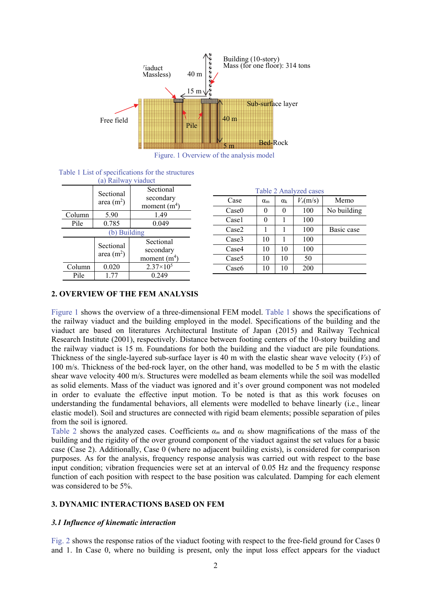

Figure. 1 Overview of the analysis model

| Table 1 List of specifications for the structures |  |
|---------------------------------------------------|--|
|---------------------------------------------------|--|

| (a) Railway viaduct |                          |                                         |  |  |  |
|---------------------|--------------------------|-----------------------------------------|--|--|--|
|                     | Sectional<br>area $(m2)$ | Sectional<br>secondary<br>moment $(m4)$ |  |  |  |
| Column              | 5.90                     | 1.49                                    |  |  |  |
| Pile                | 0.785                    | 0.049                                   |  |  |  |
| (b) Building        |                          |                                         |  |  |  |
|                     |                          |                                         |  |  |  |
|                     | Sectional<br>area $(m2)$ | Sectional<br>secondary<br>moment $(m4)$ |  |  |  |
| Column              | 0.020                    | $2.37\times10^{5}$                      |  |  |  |

| Table 2 Analyzed cases |                  |              |            |             |  |
|------------------------|------------------|--------------|------------|-------------|--|
| Case                   | $\alpha_{\rm m}$ | $\alpha_{k}$ | $V_s(m/s)$ | Memo        |  |
| Case <sub>0</sub>      |                  | 0            | 100        | No building |  |
| Case1                  |                  |              | 100        |             |  |
| Case2                  |                  |              | 100        | Basic case  |  |
| Case3                  | 10               |              | 100        |             |  |
| Case4                  | 10               | 10           | 100        |             |  |
| Case <sub>5</sub>      | 10               | 10           | 50         |             |  |
| Case <sub>6</sub>      | 10               | 10           | 200        |             |  |
|                        |                  |              |            |             |  |

## **2. OVERVIEW OF THE FEM ANALYSIS**

Figure 1 shows the overview of a three-dimensional FEM model. Table 1 shows the specifications of the railway viaduct and the building employed in the model. Specifications of the building and the viaduct are based on literatures Architectural Institute of Japan (2015) and Railway Technical Research Institute (2001), respectively. Distance between footing centers of the 10-story building and the railway viaduct is 15 m. Foundations for both the building and the viaduct are pile foundations. Thickness of the single-layered sub-surface layer is 40 m with the elastic shear wave velocity (*Vs*) of 100 m/s. Thickness of the bed-rock layer, on the other hand, was modelled to be 5 m with the elastic shear wave velocity 400 m/s. Structures were modelled as beam elements while the soil was modelled as solid elements. Mass of the viaduct was ignored and it's over ground component was not modeled in order to evaluate the effective input motion. To be noted is that as this work focuses on understanding the fundamental behaviors, all elements were modelled to behave linearly (i.e., linear elastic model). Soil and structures are connected with rigid beam elements; possible separation of piles from the soil is ignored.

Table 2 shows the analyzed cases. Coefficients  $\alpha_m$  and  $\alpha_k$  show magnifications of the mass of the building and the rigidity of the over ground component of the viaduct against the set values for a basic case (Case 2). Additionally, Case 0 (where no adjacent building exists), is considered for comparison purposes. As for the analysis, frequency response analysis was carried out with respect to the base input condition; vibration frequencies were set at an interval of 0.05 Hz and the frequency response function of each position with respect to the base position was calculated. Damping for each element was considered to be 5%.

# **3. DYNAMIC INTERACTIONS BASED ON FEM**

#### *3.1 Influence of kinematic interaction*

Fig. 2 shows the response ratios of the viaduct footing with respect to the free-field ground for Cases 0 and 1. In Case 0, where no building is present, only the input loss effect appears for the viaduct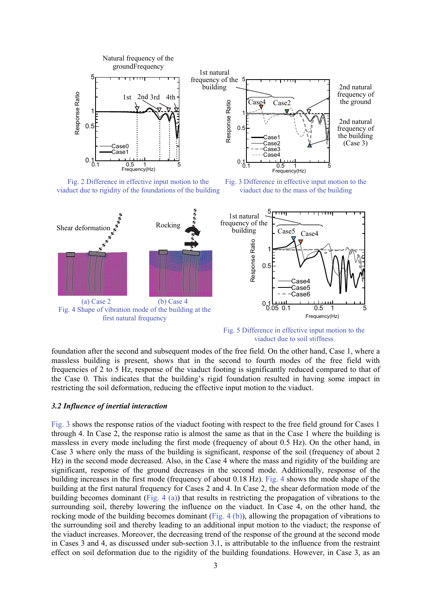

Fig. 2 Difference in effective input motion to the viaduct due to rigidity of the foundations of the building





Fig. 5 Difference in effective input motion to the viaduct due to soil stiffness

foundation after the second and subsequent modes of the free field. On the other hand, Case 1, where a massless building is present, shows that in the second to fourth modes of the free field with frequencies of 2 to 5 Hz, response of the viaduct footing is significantly reduced compared to that of the Case 0. This indicates that the building's rigid foundation resulted in having some impact in restricting the soil deformation, reducing the effective input motion to the viaduct.

## *3.2 Influence of inertial interaction*

Fig. 3 shows the response ratios of the viaduct footing with respect to the free field ground for Cases 1 through 4. In Case 2, the response ratio is almost the same as that in the Case 1 where the building is massless in every mode including the first mode (frequency of about 0.5 Hz). On the other hand, in Case 3 where only the mass of the building is significant, response of the soil (frequency of about 2 Hz) in the second mode decreased. Also, in the Case 4 where the mass and rigidity of the building are significant, response of the ground decreases in the second mode. Additionally, response of the building increases in the first mode (frequency of about 0.18 Hz). Fig. 4 shows the mode shape of the building at the first natural frequency for Cases 2 and 4. In Case 2, the shear deformation mode of the building becomes dominant (Fig. 4 (a)) that results in restricting the propagation of vibrations to the surrounding soil, thereby lowering the influence on the viaduct. In Case 4, on the other hand, the rocking mode of the building becomes dominant (Fig. 4 (b)), allowing the propagation of vibrations to the surrounding soil and thereby leading to an additional input motion to the viaduct; the response of the viaduct increases. Moreover, the decreasing trend of the response of the ground at the second mode in Cases 3 and 4, as discussed under sub-section 3.1, is attributable to the influence from the restraint effect on soil deformation due to the rigidity of the building foundations. However, in Case 3, as an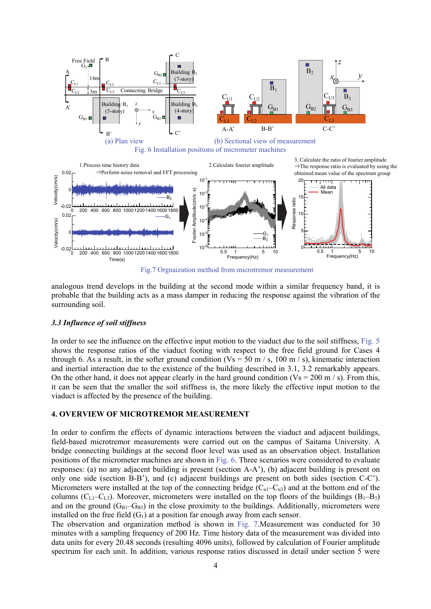

analogous trend develops in the building at the second mode within a similar frequency band, it is probable that the building acts as a mass damper in reducing the response against the vibration of the surrounding soil.

## *3.3 Influence of soil stiffness*

In order to see the influence on the effective input motion to the viaduct due to the soil stiffness, Fig. 5 shows the response ratios of the viaduct footing with respect to the free field ground for Cases 4 through 6. As a result, in the softer ground condition (Vs = 50 m / s, 100 m / s), kinematic interaction and inertial interaction due to the existence of the building described in 3.1, 3.2 remarkably appears. On the other hand, it does not appear clearly in the hard ground condition ( $Vs = 200$  m/s). From this, it can be seen that the smaller the soil stiffness is, the more likely the effective input motion to the viaduct is affected by the presence of the building.

### **4. OVERVIEW OF MICROTREMOR MEASUREMENT**

In order to confirm the effects of dynamic interactions between the viaduct and adjacent buildings, field-based microtremor measurements were carried out on the campus of Saitama University. A bridge connecting buildings at the second floor level was used as an observation object. Installation positions of the micrometer machines are shown in Fig. 6. Three scenarios were considered to evaluate responses: (a) no any adjacent building is present (section A-A'), (b) adjacent building is present on only one side (section B-B'), and (c) adjacent buildings are present on both sides (section C-C'). Micrometers were installed at the top of the connecting bridge  $(C_{ul}-C_{ul})$  and at the bottom end of the columns ( $C_{L1}-C_{L3}$ ). Moreover, micrometers were installed on the top floors of the buildings ( $B_1-B_3$ ) and on the ground  $(G_{B1}-G_{B3})$  in the close proximity to the buildings. Additionally, micrometers were installed on the free field  $(G_1)$  at a position far enough away from each sensor.

The observation and organization method is shown in Fig. 7.Measurement was conducted for 30 minutes with a sampling frequency of 200 Hz. Time history data of the measurement was divided into data units for every 20.48 seconds (resulting 4096 units), followed by calculation of Fourier amplitude spectrum for each unit. In addition, various response ratios discussed in detail under section 5 were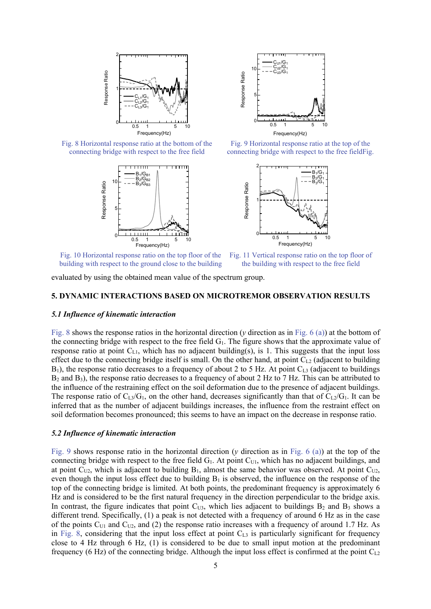

Fig. 8 Horizontal response ratio at the bottom of the connecting bridge with respect to the free field





Fig. 9 Horizontal response ratio at the top of the connecting bridge with respect to the free fieldFig.



Fig. 10 Horizontal response ratio on the top floor of the building with respect to the ground close to the building

Fig. 11 Vertical response ratio on the top floor of the building with respect to the free field

evaluated by using the obtained mean value of the spectrum group.

#### **5. DYNAMIC INTERACTIONS BASED ON MICROTREMOR OBSERVATION RESULTS**

#### *5.1 Influence of kinematic interaction*

Fig. 8 shows the response ratios in the horizontal direction (*y* direction as in Fig. 6 (a)) at the bottom of the connecting bridge with respect to the free field  $G<sub>1</sub>$ . The figure shows that the approximate value of response ratio at point  $C_{L1}$ , which has no adjacent building(s), is 1. This suggests that the input loss effect due to the connecting bridge itself is small. On the other hand, at point  $C_{L2}$  (adjacent to building  $B_1$ ), the response ratio decreases to a frequency of about 2 to 5 Hz. At point  $C_{13}$  (adjacent to buildings B2 and B3), the response ratio decreases to a frequency of about 2 Hz to 7 Hz. This can be attributed to the influence of the restraining effect on the soil deformation due to the presence of adjacent buildings. The response ratio of  $C_{L3}/G_1$ , on the other hand, decreases significantly than that of  $C_{L2}/G_1$ . It can be inferred that as the number of adjacent buildings increases, the influence from the restraint effect on soil deformation becomes pronounced; this seems to have an impact on the decrease in response ratio.

#### *5.2 Influence of kinematic interaction*

Fig. 9 shows response ratio in the horizontal direction (*y* direction as in Fig. 6 (a)) at the top of the connecting bridge with respect to the free field  $G_1$ . At point  $C_{U_1}$ , which has no adjacent buildings, and at point  $C_{U2}$ , which is adjacent to building  $B_1$ , almost the same behavior was observed. At point  $C_{U2}$ , even though the input loss effect due to building  $B_1$  is observed, the influence on the response of the top of the connecting bridge is limited. At both points, the predominant frequency is approximately 6 Hz and is considered to be the first natural frequency in the direction perpendicular to the bridge axis. In contrast, the figure indicates that point  $C_{U3}$ , which lies adjacent to buildings  $B_2$  and  $B_3$  shows a different trend. Specifically, (1) a peak is not detected with a frequency of around 6 Hz as in the case of the points  $C_{U1}$  and  $C_{U2}$ , and (2) the response ratio increases with a frequency of around 1.7 Hz. As in Fig. 8, considering that the input loss effect at point  $C_{L3}$  is particularly significant for frequency close to 4 Hz through 6 Hz, (1) is considered to be due to small input motion at the predominant frequency (6 Hz) of the connecting bridge. Although the input loss effect is confirmed at the point  $C_{12}$